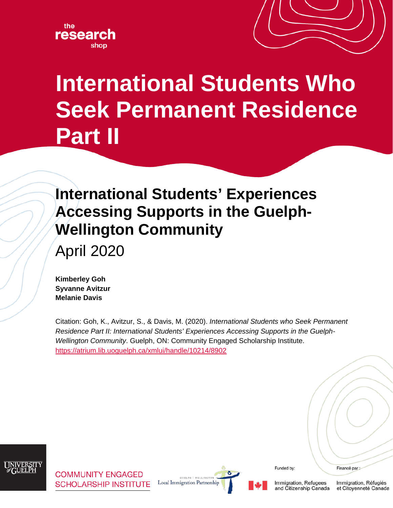



# **International Students Who Seek Permanent Residence Part II**

## **International Students' Experiences Accessing Supports in the Guelph-Wellington Community**

April 2020

**Kimberley Goh Syvanne Avitzur Melanie Davis**

Citation: Goh, K., Avitzur, S., & Davis, M. (2020). *International Students who Seek Permanent Residence Part II: International Students' Experiences Accessing Supports in the Guelph-Wellington Community*. Guelph, ON: [Community Engaged Scholarship Institute.](http://www.cesinstitute.ca/) <https://atrium.lib.uoguelph.ca/xmlui/handle/10214/8902>



**COMMUNITY ENGAGED SCHOLARSHIP INSTITUTE** 



Funded by:

Immigration, Refugees

and Citizenship Canada

Financé par :

Immigration, Réfugiés et Citoyenneté Canada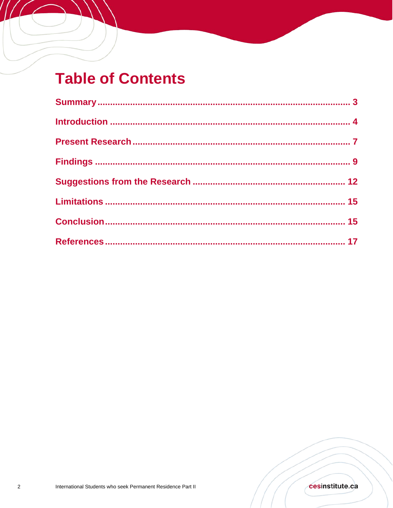## **Table of Contents**

 $\sqrt{ }$ 

//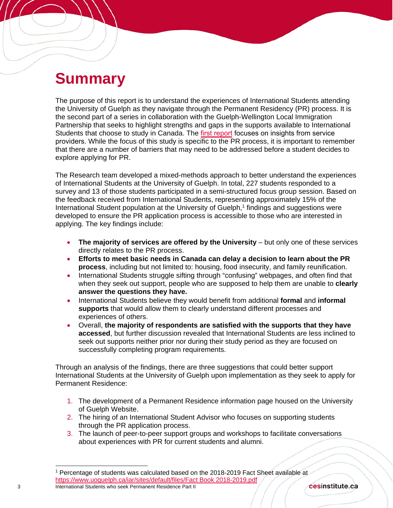## **Summary**

The purpose of this report is to understand the experiences of International Students attending the University of Guelph as they navigate through the Permanent Residency (PR) process. It is the second part of a series in collaboration with the Guelph-Wellington Local Immigration Partnership that seeks to highlight strengths and gaps in the supports available to International Students that choose to study in Canada. The [first report focuses on insights from service](https://atrium.lib.uoguelph.ca/xmlui/bitstream/handle/10214/16245/Goh_InternationalStudents_ProvidersPerspectives_2019.pdf?sequence=1&isAllowed=y)  providers. While the focus of this study is specific to the PR process, it is important to remember that there are a number of barriers that may need to be addressed before a student decides to explore applying for PR.

The Research team developed a mixed-methods approach to better understand the experiences of International Students at the University of Guelph. In total, 227 students responded to a survey and 13 of those students participated in a semi-structured focus group session. Based on the feedback received from International Students, representing approximately 15% of the International Student population at the University of Guelph, [1](#page-2-0) findings and suggestions were developed to ensure the PR application process is accessible to those who are interested in applying. The key findings include:

- **The majority of services are offered by the University** but only one of these services directly relates to the PR process.
- **Efforts to meet basic needs in Canada can delay a decision to learn about the PR process**, including but not limited to: housing, food insecurity, and family reunification.
- International Students struggle sifting through "confusing" webpages, and often find that when they seek out support, people who are supposed to help them are unable to **clearly answer the questions they have.**
- International Students believe they would benefit from additional **formal** and **informal supports** that would allow them to clearly understand different processes and experiences of others.
- Overall, **the majority of respondents are satisfied with the supports that they have accessed**, but further discussion revealed that International Students are less inclined to seek out supports neither prior nor during their study period as they are focused on successfully completing program requirements.

Through an analysis of the findings, there are three suggestions that could better support International Students at the University of Guelph upon implementation as they seek to apply for Permanent Residence:

- 1. The development of a Permanent Residence information page housed on the University of Guelph Website.
- 2. The hiring of an International Student Advisor who focuses on supporting students through the PR application process.
- 3. The launch of peer-to-peer support groups and workshops to facilitate conversations about experiences with PR for current students and alumni.

<span id="page-2-0"></span><sup>3</sup> International Students who seek Permanent Residence Part II Percentage of students was calculated based on the 2018-2019 Fact Sheet available at [https://www.uoguelph.ca/iar/sites/default/files/Fact Book 2018-2019.pdf](https://www.uoguelph.ca/iar/sites/default/files/Fact%20Book%202018-2019.pdf)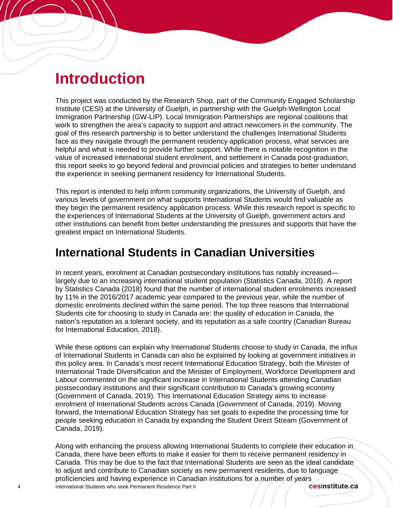## **Introduction**

Í

This project was conducted by the Research Shop, part of the Community Engaged Scholarship Institute (CESI) at the University of Guelph, in partnership with the Guelph-Wellington Local Immigration Partnership (GW-LIP). Local Immigration Partnerships are regional coalitions that work to strengthen the area's capacity to support and attract newcomers in the community. The goal of this research partnership is to better understand the challenges International Students face as they navigate through the permanent residency application process, what services are helpful and what is needed to provide further support. While there is notable recognition in the value of increased international student enrolment, and settlement in Canada post-graduation, this report seeks to go beyond federal and provincial policies and strategies to better understand the experience in seeking permanent residency for International Students.

This report is intended to help inform community organizations, the University of Guelph, and various levels of government on what supports International Students would find valuable as they begin the permanent residency application process. While this research report is specific to the experiences of International Students at the University of Guelph, government actors and other institutions can benefit from better understanding the pressures and supports that have the greatest impact on International Students.

## **International Students in Canadian Universities**

In recent years, enrolment at Canadian postsecondary institutions has notably increased largely due to an increasing international student population (Statistics Canada, 2018). A report by Statistics Canada (2018) found that the number of international student enrolments increased by 11% in the 2016/2017 academic year compared to the previous year, while the number of domestic enrolments declined within the same period. The top three reasons that International Students cite for choosing to study in Canada are: the quality of education in Canada, the nation's reputation as a tolerant society, and its reputation as a safe country (Canadian Bureau for International Education, 2018).

While these options can explain why International Students choose to study in Canada, the influx of International Students in Canada can also be explained by looking at government initiatives in this policy area. In Canada's most recent International Education Strategy, both the Minister of International Trade Diversification and the Minister of Employment, Workforce Development and Labour commented on the significant increase in International Students attending Canadian postsecondary institutions and their significant contribution to Canada's growing economy (Government of Canada, 2019). This International Education Strategy aims to increase enrolment of International Students across Canada (Government of Canada, 2019). Moving forward, the International Education Strategy has set goals to expedite the processing time for people seeking education in Canada by expanding the Student Direct Stream (Government of Canada, 2019).

4 International Students who seek Permanent Residence Part II Along with enhancing the process allowing International Students to complete their education in Canada, there have been efforts to make it easier for them to receive permanent residency in Canada. This may be due to the fact that International Students are seen as the ideal candidate to adjust and contribute to Canadian society as new permanent residents, due to language proficiencies and having experience in Canadian institutions for a number of years<br>International Students who seek Permanent Residence Part II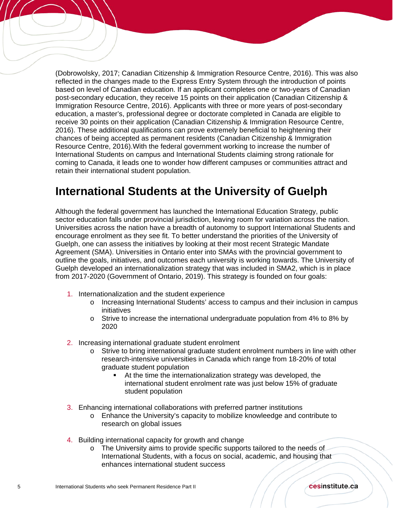(Dobrowolsky, 2017; Canadian Citizenship & Immigration Resource Centre, 2016). This was also reflected in the changes made to the Express Entry System through the introduction of points based on level of Canadian education. If an applicant completes one or two-years of Canadian post-secondary education, they receive 15 points on their application (Canadian Citizenship & Immigration Resource Centre, 2016). Applicants with three or more years of post-secondary education, a master's, professional degree or doctorate completed in Canada are eligible to receive 30 points on their application (Canadian Citizenship & Immigration Resource Centre, 2016). These additional qualifications can prove extremely beneficial to heightening their chances of being accepted as permanent residents (Canadian Citizenship & Immigration Resource Centre, 2016).With the federal government working to increase the number of International Students on campus and International Students claiming strong rationale for coming to Canada, it leads one to wonder how different campuses or communities attract and retain their international student population.

### **International Students at the University of Guelph**

Although the federal government has launched the International Education Strategy, public sector education falls under provincial jurisdiction, leaving room for variation across the nation. Universities across the nation have a breadth of autonomy to support International Students and encourage enrolment as they see fit. To better understand the priorities of the University of Guelph, one can assess the initiatives by looking at their most recent Strategic Mandate Agreement (SMA). Universities in Ontario enter into SMAs with the provincial government to outline the goals, initiatives, and outcomes each university is working towards. The University of Guelph developed an internationalization strategy that was included in SMA2, which is in place from 2017-2020 (Government of Ontario, 2019). This strategy is founded on four goals:

- 1. Internationalization and the student experience
	- o Increasing International Students' access to campus and their inclusion in campus initiatives
	- $\circ$  Strive to increase the international undergraduate population from 4% to 8% by 2020
- 2. Increasing international graduate student enrolment
	- o Strive to bring international graduate student enrolment numbers in line with other research-intensive universities in Canada which range from 18-20% of total graduate student population
		- At the time the internationalization strategy was developed, the international student enrolment rate was just below 15% of graduate student population
- 3. Enhancing international collaborations with preferred partner institutions
	- o Enhance the University's capacity to mobilize knowleedge and contribute to research on global issues
- 4. Building international capacity for growth and change
	- o The University aims to provide specific supports tailored to the needs of International Students, with a focus on social, academic, and housing that enhances international student success

Í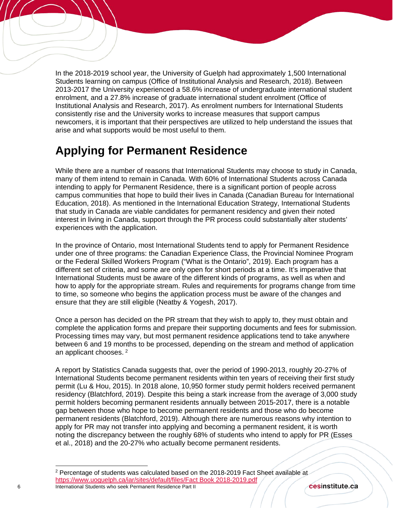In the 2018-2019 school year, the University of Guelph had approximately 1,500 International Students learning on campus (Office of Institutional Analysis and Research, 2018). Between 2013-2017 the University experienced a 58.6% increase of undergraduate international student enrolment, and a 27.8% increase of graduate international student enrolment (Office of Institutional Analysis and Research, 2017). As enrolment numbers for International Students consistently rise and the University works to increase measures that support campus newcomers, it is important that their perspectives are utilized to help understand the issues that arise and what supports would be most useful to them.

## **Applying for Permanent Residence**

Í

While there are a number of reasons that International Students may choose to study in Canada, many of them intend to remain in Canada. With 60% of International Students across Canada intending to apply for Permanent Residence, there is a significant portion of people across campus communities that hope to build their lives in Canada (Canadian Bureau for International Education, 2018). As mentioned in the International Education Strategy, International Students that study in Canada are viable candidates for permanent residency and given their noted interest in living in Canada, support through the PR process could substantially alter students' experiences with the application.

In the province of Ontario, most International Students tend to apply for Permanent Residence under one of three programs: the Canadian Experience Class, the Provincial Nominee Program or the Federal Skilled Workers Program ("What is the Ontario", 2019). Each program has a different set of criteria, and some are only open for short periods at a time. It's imperative that International Students must be aware of the different kinds of programs, as well as when and how to apply for the appropriate stream. Rules and requirements for programs change from time to time, so someone who begins the application process must be aware of the changes and ensure that they are still eligible (Neatby & Yogesh, 2017).

Once a person has decided on the PR stream that they wish to apply to, they must obtain and complete the application forms and prepare their supporting documents and fees for submission. Processing times may vary, but most permanent residence applications tend to take anywhere between 6 and 19 months to be processed, depending on the stream and method of application an applicant chooses. [2](#page-5-0)

A report by Statistics Canada suggests that, over the period of 1990-2013, roughly 20-27% of International Students become permanent residents within ten years of receiving their first study permit (Lu & Hou, 2015). In 2018 alone, 10,950 former study permit holders received permanent residency (Blatchford, 2019). Despite this being a stark increase from the average of 3,000 study permit holders becoming permanent residents annually between 2015-2017, there is a notable gap between those who hope to become permanent residents and those who do become permanent residents (Blatchford, 2019). Although there are numerous reasons why intention to apply for PR may not transfer into applying and becoming a permanent resident, it is worth noting the discrepancy between the roughly 68% of students who intend to apply for PR (Esses et al., 2018) and the 20-27% who actually become permanent residents.

cesinstitute.ca

 $\overline{a}$ 

<span id="page-5-0"></span><sup>6</sup> International Students who seek Permanent Residence Part II <sup>2</sup> Percentage of students was calculated based on the 2018-2019 Fact Sheet available at [https://www.uoguelph.ca/iar/sites/default/files/Fact Book 2018-2019.pdf](https://www.uoguelph.ca/iar/sites/default/files/Fact%20Book%202018-2019.pdf)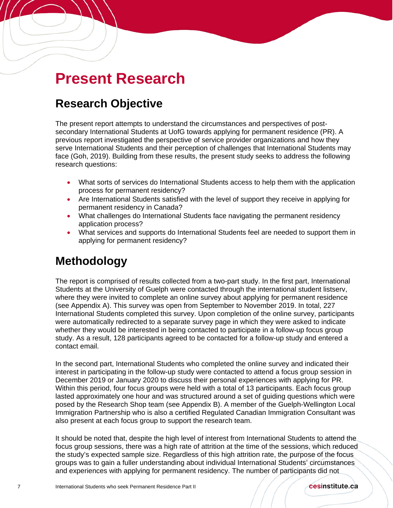## **Present Research**

## **Research Objective**

Í

The present report attempts to understand the circumstances and perspectives of postsecondary International Students at UofG towards applying for permanent residence (PR). A previous report investigated the perspective of service provider organizations and how they serve International Students and their perception of challenges that International Students may face (Goh, 2019). Building from these results, the present study seeks to address the following research questions:

- What sorts of services do International Students access to help them with the application process for permanent residency?
- Are International Students satisfied with the level of support they receive in applying for permanent residency in Canada?
- What challenges do International Students face navigating the permanent residency application process?
- What services and supports do International Students feel are needed to support them in applying for permanent residency?

## **Methodology**

The report is comprised of results collected from a two-part study. In the first part, International Students at the University of Guelph were contacted through the international student listserv, where they were invited to complete an online survey about applying for permanent residence (see Appendix A). This survey was open from September to November 2019. In total, 227 International Students completed this survey. Upon completion of the online survey, participants were automatically redirected to a separate survey page in which they were asked to indicate whether they would be interested in being contacted to participate in a follow-up focus group study. As a result, 128 participants agreed to be contacted for a follow-up study and entered a contact email.

In the second part, International Students who completed the online survey and indicated their interest in participating in the follow-up study were contacted to attend a focus group session in December 2019 or January 2020 to discuss their personal experiences with applying for PR. Within this period, four focus groups were held with a total of 13 participants. Each focus group lasted approximately one hour and was structured around a set of guiding questions which were posed by the Research Shop team (see Appendix B). A member of the Guelph-Wellington Local Immigration Partnership who is also a certified Regulated Canadian Immigration Consultant was also present at each focus group to support the research team.

It should be noted that, despite the high level of interest from International Students to attend the focus group sessions, there was a high rate of attrition at the time of the sessions, which reduced the study's expected sample size. Regardless of this high attrition rate, the purpose of the focus groups was to gain a fuller understanding about individual International Students' circumstances and experiences with applying for permanent residency. The number of participants did not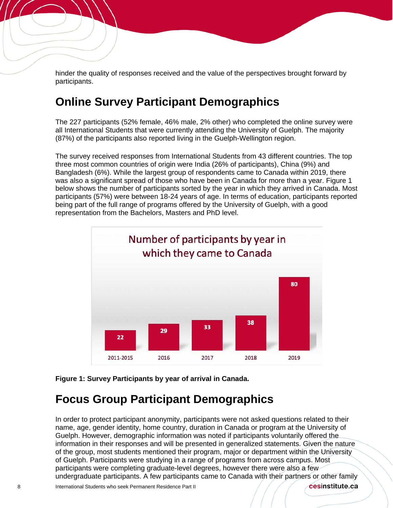hinder the quality of responses received and the value of the perspectives brought forward by participants.

### **Online Survey Participant Demographics**

Í

The 227 participants (52% female, 46% male, 2% other) who completed the online survey were all International Students that were currently attending the University of Guelph. The majority (87%) of the participants also reported living in the Guelph-Wellington region.

The survey received responses from International Students from 43 different countries. The top three most common countries of origin were India (26% of participants), China (9%) and Bangladesh (6%). While the largest group of respondents came to Canada within 2019, there was also a significant spread of those who have been in Canada for more than a year. Figure 1 below shows the number of participants sorted by the year in which they arrived in Canada. Most participants (57%) were between 18-24 years of age. In terms of education, participants reported being part of the full range of programs offered by the University of Guelph, with a good representation from the Bachelors, Masters and PhD level.



**Figure 1: Survey Participants by year of arrival in Canada.**

### **Focus Group Participant Demographics**

In order to protect participant anonymity, participants were not asked questions related to their name, age, gender identity, home country, duration in Canada or program at the University of Guelph. However, demographic information was noted if participants voluntarily offered the information in their responses and will be presented in generalized statements. Given the nature of the group, most students mentioned their program, major or department within the University of Guelph. Participants were studying in a range of programs from across campus. Most participants were completing graduate-level degrees, however there were also a few undergraduate participants. A few participants came to Canada with their partners or other family

cesinstitute.ca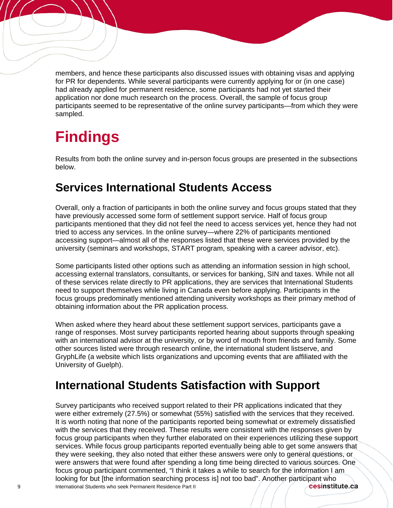members, and hence these participants also discussed issues with obtaining visas and applying for PR for dependents. While several participants were currently applying for or (in one case) had already applied for permanent residence, some participants had not yet started their application nor done much research on the process. Overall, the sample of focus group participants seemed to be representative of the online survey participants—from which they were sampled.

## **Findings**

Í

Results from both the online survey and in-person focus groups are presented in the subsections below.

## **Services International Students Access**

Overall, only a fraction of participants in both the online survey and focus groups stated that they have previously accessed some form of settlement support service. Half of focus group participants mentioned that they did not feel the need to access services yet, hence they had not tried to access any services. In the online survey—where 22% of participants mentioned accessing support—almost all of the responses listed that these were services provided by the university (seminars and workshops, START program, speaking with a career advisor, etc).

Some participants listed other options such as attending an information session in high school, accessing external translators, consultants, or services for banking, SIN and taxes. While not all of these services relate directly to PR applications, they are services that International Students need to support themselves while living in Canada even before applying. Participants in the focus groups predominatly mentioned attending university workshops as their primary method of obtaining information about the PR application process.

When asked where they heard about these settlement support services, participants gave a range of responses. Most survey participants reported hearing about supports through speaking with an international advisor at the university, or by word of mouth from friends and family. Some other sources listed were through research online, the international student listserve, and GryphLife (a website which lists organizations and upcoming events that are affiliated with the University of Guelph).

## **International Students Satisfaction with Support**

9 International Students who seek Permanent Residence Part II Survey participants who received support related to their PR applications indicated that they were either extremely (27.5%) or somewhat (55%) satisfied with the services that they received. It is worth noting that none of the participants reported being somewhat or extremely dissatisfied with the services that they received. These results were consistent with the responses given by focus group participants when they further elaborated on their experiences utilizing these support services. While focus group participants reported eventually being able to get some answers that they were seeking, they also noted that either these answers were only to general questions, or were answers that were found after spending a long time being directed to various sources. One focus group participant commented, "I think it takes a while to search for the information I am looking for but [the information searching process is] not too bad". Another participant who<br>International Students who seek Permanent Residence Part II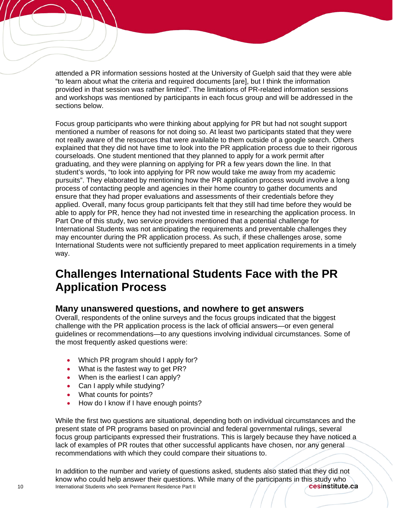attended a PR information sessions hosted at the University of Guelph said that they were able "to learn about what the criteria and required documents [are], but I think the information provided in that session was rather limited". The limitations of PR-related information sessions and workshops was mentioned by participants in each focus group and will be addressed in the sections below.

Focus group participants who were thinking about applying for PR but had not sought support mentioned a number of reasons for not doing so. At least two participants stated that they were not really aware of the resources that were available to them outside of a google search. Others explained that they did not have time to look into the PR application process due to their rigorous courseloads. One student mentioned that they planned to apply for a work permit after graduating, and they were planning on applying for PR a few years down the line. In that student's words, "to look into applying for PR now would take me away from my academic pursuits". They elaborated by mentioning how the PR application process would involve a long process of contacting people and agencies in their home country to gather documents and ensure that they had proper evaluations and assessments of their credentials before they applied. Overall, many focus group participants felt that they still had time before they would be able to apply for PR, hence they had not invested time in researching the application process. In Part One of this study, two service providers mentioned that a potential challenge for International Students was not anticipating the requirements and preventable challenges they may encounter during the PR application process. As such, if these challenges arose, some International Students were not sufficiently prepared to meet application requirements in a timely way.

## **Challenges International Students Face with the PR Application Process**

#### **Many unanswered questions, and nowhere to get answers**

Overall, respondents of the online surveys and the focus groups indicated that the biggest challenge with the PR application process is the lack of official answers—or even general guidelines or recommendations—to any questions involving individual circumstances. Some of the most frequently asked questions were:

- Which PR program should I apply for?
- What is the fastest way to get PR?
- When is the earliest I can apply?
- Can I apply while studying?
- What counts for points?

Í

• How do I know if I have enough points?

While the first two questions are situational, depending both on individual circumstances and the present state of PR programs based on provincial and federal governmental rulings, several focus group participants expressed their frustrations. This is largely because they have noticed a lack of examples of PR routes that other successful applicants have chosen, nor any general recommendations with which they could compare their situations to.

10 **International Students who seek Permanent Residence Part II** In addition to the number and variety of questions asked, students also stated that they did not know who could help answer their questions. While many of the participants in this study who<br>International Students who seek Permanent Residence Part II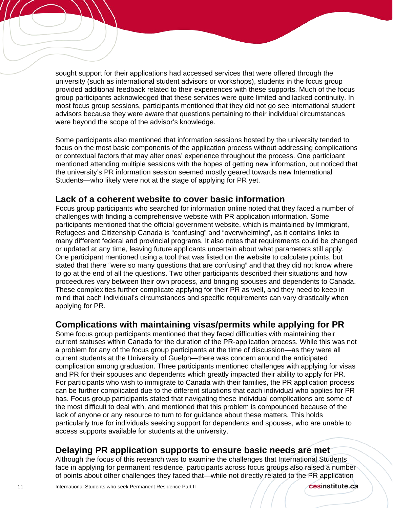sought support for their applications had accessed services that were offered through the university (such as international student advisors or workshops), students in the focus group provided additional feedback related to their experiences with these supports. Much of the focus group participants acknowledged that these services were quite limited and lacked continuity. In most focus group sessions, participants mentioned that they did not go see international student advisors because they were aware that questions pertaining to their individual circumstances were beyond the scope of the advisor's knowledge.

Some participants also mentioned that information sessions hosted by the university tended to focus on the most basic components of the application process without addressing complications or contextual factors that may alter ones' experience throughout the process. One participant mentioned attending multiple sessions with the hopes of getting new information, but noticed that the university's PR information session seemed mostly geared towards new International Students—who likely were not at the stage of applying for PR yet.

#### **Lack of a coherent website to cover basic information**

Focus group participants who searched for information online noted that they faced a number of challenges with finding a comprehensive website with PR application information. Some participants mentioned that the official government website, which is maintained by Immigrant, Refugees and Citizenship Canada is "confusing" and "overwhelming", as it contains links to many different federal and provincial programs. It also notes that requirements could be changed or updated at any time, leaving future applicants uncertain about what parameters still apply. One participant mentioned using a tool that was listed on the website to calculate points, but stated that there "were so many questions that are confusing" and that they did not know where to go at the end of all the questions. Two other participants described their situations and how proceedures vary between their own process, and bringing spouses and dependents to Canada. These complexities further complicate applying for their PR as well, and they need to keep in mind that each individual's circumstances and specific requirements can vary drastically when applying for PR.

#### **Complications with maintaining visas/permits while applying for PR**

Some focus group participants mentioned that they faced difficulties with maintaining their current statuses within Canada for the duration of the PR-application process. While this was not a problem for any of the focus group participants at the time of discussion—as they were all current students at the University of Guelph—there was concern around the anticipated complication among graduation. Three participants mentioned challenges with applying for visas and PR for their spouses and dependents which greatly impacted their ability to apply for PR. For participants who wish to immigrate to Canada with their families, the PR application process can be further complicated due to the different situations that each individual who applies for PR has. Focus group participants stated that navigating these individual complications are some of the most difficult to deal with, and mentioned that this problem is compounded because of the lack of anyone or any resource to turn to for guidance about these matters. This holds particularly true for individuals seeking support for dependents and spouses, who are unable to access supports available for students at the university.

#### **Delaying PR application supports to ensure basic needs are met**

Although the focus of this research was to examine the challenges that International Students face in applying for permanent residence, participants across focus groups also raised a number of points about other challenges they faced that—while not directly related to the PR application

Í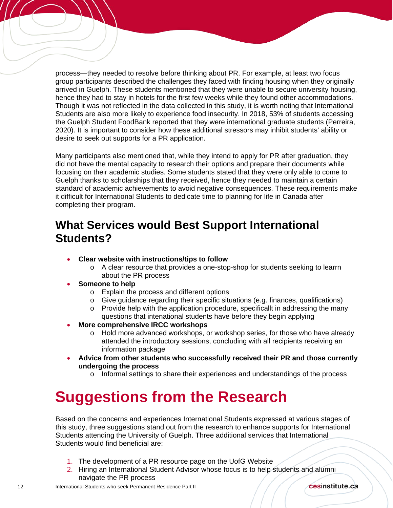process—they needed to resolve before thinking about PR. For example, at least two focus group participants described the challenges they faced with finding housing when they originally arrived in Guelph. These students mentioned that they were unable to secure university housing, hence they had to stay in hotels for the first few weeks while they found other accommodations. Though it was not reflected in the data collected in this study, it is worth noting that International Students are also more likely to experience food insecurity. In 2018, 53% of students accessing the Guelph Student FoodBank reported that they were international graduate students (Perreira, 2020). It is important to consider how these additional stressors may inhibit students' ability or desire to seek out supports for a PR application.

Many participants also mentioned that, while they intend to apply for PR after graduation, they did not have the mental capacity to research their options and prepare their documents while focusing on their academic studies. Some students stated that they were only able to come to Guelph thanks to scholarships that they received, hence they needed to maintain a certain standard of academic achievements to avoid negative consequences. These requirements make it difficult for International Students to dedicate time to planning for life in Canada after completing their program.

## **What Services would Best Support International Students?**

- **Clear website with instructions/tips to follow**
	- o A clear resource that provides a one-stop-shop for students seeking to learrn about the PR process
- **Someone to help**

Í

- o Explain the process and different options
- $\circ$  Give guidance regarding their specific situations (e.g. finances, qualifications)
- $\circ$  Provide help with the application procedure, specificallt in addressing the many questions that intenational students have before they begin applying
- **More comprehensive IRCC workshops**
	- $\circ$  Hold more advanced workshops, or workshop series, for those who have already attended the introductory sessions, concluding with all recipients receiving an information package
- **Advice from other students who successfully received their PR and those currently undergoing the process**
	- o Informal settings to share their experiences and understandings of the process

## **Suggestions from the Research**

Based on the concerns and experiences International Students expressed at various stages of this study, three suggestions stand out from the research to enhance supports for International Students attending the University of Guelph. Three additional services that International Students would find beneficial are:

- 1. The development of a PR resource page on the UofG Website
- 2. Hiring an International Student Advisor whose focus is to help students and alumni navigate the PR process

cesinstitute.ca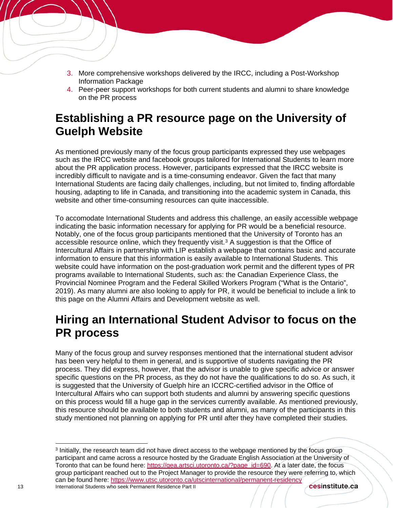- 3. More comprehensive workshops delivered by the IRCC, including a Post-Workshop Information Package
- 4. Peer-peer support workshops for both current students and alumni to share knowledge on the PR process

## **Establishing a PR resource page on the University of Guelph Website**

As mentioned previously many of the focus group participants expressed they use webpages such as the IRCC website and facebook groups tailored for International Students to learn more about the PR application process. However, participants expressed that the IRCC website is incredibly difficult to navigate and is a time-consuming endeavor. Given the fact that many International Students are facing daily challenges, including, but not limited to, finding affordable housing, adapting to life in Canada, and transitioning into the academic system in Canada, this website and other time-consuming resources can quite inaccessible.

To accomodate International Students and address this challenge, an easily accessible webpage indicating the basic information necessary for applying for PR would be a beneficial resource. Notably, one of the focus group participants mentioned that the University of Toronto has an accessible resource online, which they frequently visit.<sup>[3](#page-12-0)</sup> A suggestion is that the Office of Intercultural Affairs in partnership with LIP establish a webpage that contains basic and accurate information to ensure that this information is easily available to International Students. This website could have information on the post-graduation work permit and the different types of PR programs available to International Students, such as: the Canadian Experience Class, the Provincial Nominee Program and the Federal Skilled Workers Program ("What is the Ontario", 2019). As many alumni are also looking to apply for PR, it would be beneficial to include a link to this page on the Alumni Affairs and Development website as well.

### **Hiring an International Student Advisor to focus on the PR process**

Many of the focus group and survey responses mentioned that the international student advisor has been very helpful to them in general, and is supportive of students navigating the PR process. They did express, however, that the advisor is unable to give specific advice or answer specific questions on the PR process, as they do not have the qualifications to do so. As such, it is suggested that the University of Guelph hire an ICCRC-certified advisor in the Office of Intercultural Affairs who can support both students and alumni by answering specific questions on this process would fill a huge gap in the services currently available. As mentioned previously, this resource should be available to both students and alumni, as many of the participants in this study mentioned not planning on applying for PR until after they have completed their studies.

<span id="page-12-0"></span><sup>3</sup> Initially, the research team did not have direct access to the webpage mentioned by the focus group participant and came across a resource hosted by the Graduate English Association at the University of Toronto that can be found here: [https://gea.artsci.utoronto.ca/?page\\_id=690.](https://gea.artsci.utoronto.ca/?page_id=690) At a later date, the focus group participant reached out to the Project Manager to provide the resource they were referring to, which can be found here: [https://www.utsc.utoronto.ca/utscinternational/permanent-residency](https://gea.artsci.utoronto.ca/?page_id=690) 13 **International Students who seek Permanent Residence Part II** cesinstitute.ca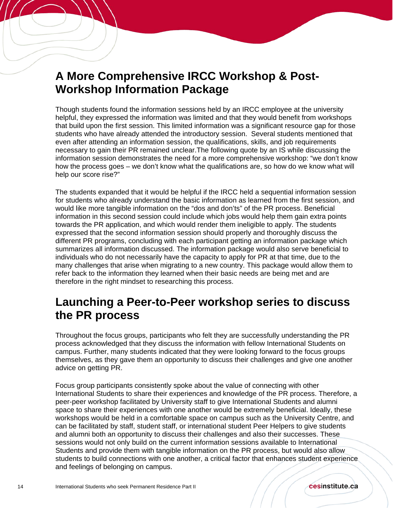## **A More Comprehensive IRCC Workshop & Post-Workshop Information Package**

Though students found the information sessions held by an IRCC employee at the university helpful, they expressed the information was limited and that they would benefit from workshops that build upon the first session. This limited information was a significant resource gap for those students who have already attended the introductory session. Several students mentioned that even after attending an information session, the qualifications, skills, and job requirements necessary to gain their PR remained unclear.The following quote by an IS while discussing the information session demonstrates the need for a more comprehensive workshop: "we don't know how the process goes – we don't know what the qualifications are, so how do we know what will help our score rise?"

The students expanded that it would be helpful if the IRCC held a sequential information session for students who already understand the basic information as learned from the first session, and would like more tangible information on the "dos and don'ts" of the PR process. Beneficial information in this second session could include which jobs would help them gain extra points towards the PR application, and which would render them ineligible to apply. The students expressed that the second information session should properly and thoroughly discuss the different PR programs, concluding with each participant getting an information package which summarizes all information discussed. The information package would also serve beneficial to individuals who do not necessarily have the capacity to apply for PR at that time, due to the many challenges that arise when migrating to a new country. This package would allow them to refer back to the information they learned when their basic needs are being met and are therefore in the right mindset to researching this process.

### **Launching a Peer-to-Peer workshop series to discuss the PR process**

Throughout the focus groups, participants who felt they are successfully understanding the PR process acknowledged that they discuss the information with fellow International Students on campus. Further, many students indicated that they were looking forward to the focus groups themselves, as they gave them an opportunity to discuss their challenges and give one another advice on getting PR.

Focus group participants consistently spoke about the value of connecting with other International Students to share their experiences and knowledge of the PR process. Therefore, a peer-peer workshop facilitated by University staff to give International Students and alumni space to share their experiences with one another would be extremely beneficial. Ideally, these workshops would be held in a comfortable space on campus such as the University Centre, and can be facilitated by staff, student staff, or international student Peer Helpers to give students and alumni both an opportunity to discuss their challenges and also their successes. These sessions would not only build on the current information sessions available to International Students and provide them with tangible information on the PR process, but would also allow students to build connections with one another, a critical factor that enhances student experience and feelings of belonging on campus.

Í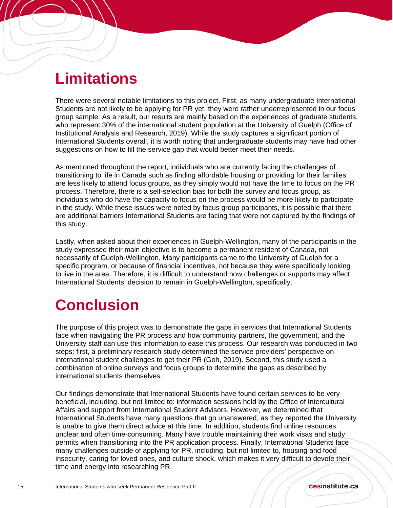## **Limitations**

í

There were several notable limitations to this project. First, as many undergraduate International Students are not likely to be applying for PR yet, they were rather underrepresented in our focus group sample. As a result, our results are mainly based on the experiences of graduate students, who represent 30% of the international student population at the University of Guelph (Office of Institutional Analysis and Research, 2019). While the study captures a significant portion of International Students overall, it is worth noting that undergraduate students may have had other suggestions on how to fill the service gap that would better meet their needs.

As mentioned throughout the report, individuals who are currently facing the challenges of transitioning to life in Canada such as finding affordable housing or providing for their families are less likely to attend focus groups, as they simply would not have the time to focus on the PR process. Therefore, there is a self-selection bias for both the survey and focus group, as individuals who do have the capacity to focus on the process would be more likely to participate in the study. While these issues were noted by focus group participants, it is possible that there are additional barriers International Students are facing that were not captured by the findings of this study.

Lastly, when asked about their experiences in Guelph-Wellington, many of the participants in the study expressed their main objective is to become a permanent resident of Canada, not necessarily of Guelph-Wellington. Many participants came to the University of Guelph for a specific program, or because of financial incentives, not because they were specifically looking to live in the area. Therefore, it is difficult to understand how challenges or supports may affect International Students' decision to remain in Guelph-Wellington, specifically.

## **Conclusion**

The purpose of this project was to demonstrate the gaps in services that International Students face when navigating the PR process and how community partners, the government, and the University staff can use this information to ease this process. Our research was conducted in two steps: first, a preliminary research study determined the service providers' perspective on international student challenges to get their PR (Goh, 2019). Second, this study used a combination of online surveys and focus groups to determine the gaps as described by international students themselves.

Our findings demonstrate that International Students have found certain services to be very beneficial, including, but not limited to: information sessions held by the Office of Intercultural Affairs and support from International Student Advisors. However, we determined that International Students have many questions that go unanswered, as they reported the University is unable to give them direct advice at this time. In addition, students find online resources unclear and often time-consuming. Many have trouble maintaining their work visas and study permits when transitioning into the PR application process. Finally, International Students face many challenges outside of applying for PR, including, but not limited to, housing and food insecurity, caring for loved ones, and culture shock, which makes it very difficult to devote their time and energy into researching PR.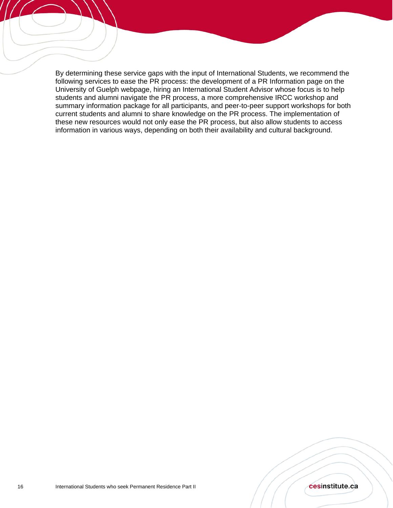By determining these service gaps with the input of International Students, we recommend the following services to ease the PR process: the development of a PR Information page on the University of Guelph webpage, hiring an International Student Advisor whose focus is to help students and alumni navigate the PR process, a more comprehensive IRCC workshop and summary information package for all participants, and peer-to-peer support workshops for both current students and alumni to share knowledge on the PR process. The implementation of these new resources would not only ease the PR process, but also allow students to access information in various ways, depending on both their availability and cultural background.

í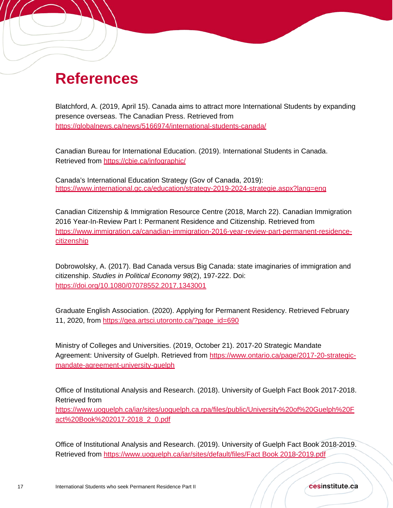## **References**

í

Blatchford, A. (2019, April 15). Canada aims to attract more International Students by expanding presence overseas. The Canadian Press. Retrieved from <https://globalnews.ca/news/5166974/international-students-canada/>

Canadian Bureau for International Education. (2019). International Students in Canada. Retrieved from<https://cbie.ca/infographic/>

Canada's International Education Strategy (Gov of Canada, 2019): <https://www.international.gc.ca/education/strategy-2019-2024-strategie.aspx?lang=eng>

Canadian Citizenship & Immigration Resource Centre (2018, March 22). Canadian Immigration 2016 Year-In-Review Part I: Permanent Residence and Citizenship. Retrieved from [https://www.immigration.ca/canadian-immigration-2016-year-review-part-permanent-residence](https://www.immigration.ca/canadian-immigration-2016-year-review-part-permanent-residence-citizenship)[citizenship](https://www.immigration.ca/canadian-immigration-2016-year-review-part-permanent-residence-citizenship)

Dobrowolsky, A. (2017). Bad Canada versus Big Canada: state imaginaries of immigration and citizenship. *Studies in Political Economy 98*(2), 197-222. Doi: <https://doi.org/10.1080/07078552.2017.1343001>

Graduate English Association. (2020). Applying for Permanent Residency. Retrieved February 11, 2020, from https://gea.artsci.utoronto.ca/?page\_id=690

Ministry of Colleges and Universities. (2019, October 21). 2017-20 Strategic Mandate Agreement: University of Guelph. Retrieved from [https://www.ontario.ca/page/2017-20-strategic](https://www.ontario.ca/page/2017-20-strategic-mandate-agreement-university-guelph)[mandate-agreement-university-guelph](https://www.ontario.ca/page/2017-20-strategic-mandate-agreement-university-guelph)

Office of Institutional Analysis and Research. (2018). University of Guelph Fact Book 2017-2018. Retrieved from

[https://www.uoguelph.ca/iar/sites/uoguelph.ca.rpa/files/public/University%20of%20Guelph%20F](https://www.uoguelph.ca/iar/sites/uoguelph.ca.rpa/files/public/University%20of%20Guelph%20Fact%20Book%202017-2018_2_0.pdf) [act%20Book%202017-2018\\_2\\_0.pdf](https://www.uoguelph.ca/iar/sites/uoguelph.ca.rpa/files/public/University%20of%20Guelph%20Fact%20Book%202017-2018_2_0.pdf)

Office of Institutional Analysis and Research. (2019). University of Guelph Fact Book 2018-2019. Retrieved from [https://www.uoguelph.ca/iar/sites/default/files/Fact Book 2018-2019.pdf](https://www.uoguelph.ca/iar/sites/default/files/Fact%20Book%202018-2019.pdf)